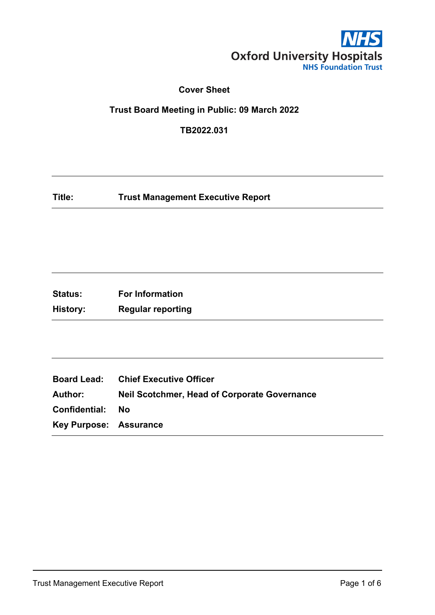

# **Cover Sheet**

# **Trust Board Meeting in Public: 09 March 2022**

**TB2022.031**

**Title: Trust Management Executive Report**

| <b>Status:</b> | <b>For Information</b>   |
|----------------|--------------------------|
| History:       | <b>Regular reporting</b> |

|                               | <b>Board Lead: Chief Executive Officer</b>          |
|-------------------------------|-----------------------------------------------------|
| Author: <b>Author</b>         | <b>Neil Scotchmer, Head of Corporate Governance</b> |
| <b>Confidential: No</b>       |                                                     |
| <b>Key Purpose: Assurance</b> |                                                     |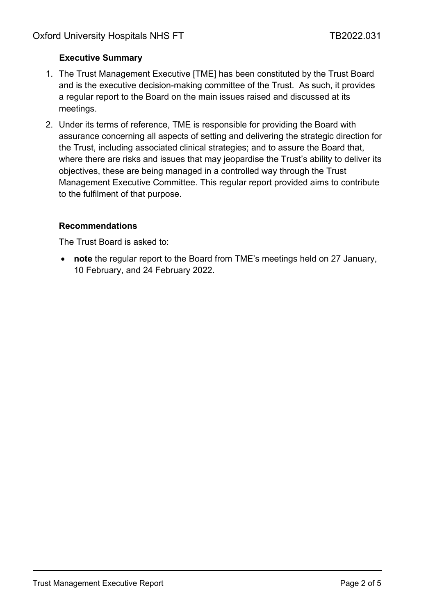# **Executive Summary**

- 1. The Trust Management Executive [TME] has been constituted by the Trust Board and is the executive decision-making committee of the Trust. As such, it provides a regular report to the Board on the main issues raised and discussed at its meetings.
- 2. Under its terms of reference, TME is responsible for providing the Board with assurance concerning all aspects of setting and delivering the strategic direction for the Trust, including associated clinical strategies; and to assure the Board that, where there are risks and issues that may jeopardise the Trust's ability to deliver its objectives, these are being managed in a controlled way through the Trust Management Executive Committee. This regular report provided aims to contribute to the fulfilment of that purpose.

### **Recommendations**

The Trust Board is asked to:

• **note** the regular report to the Board from TME's meetings held on 27 January, 10 February, and 24 February 2022.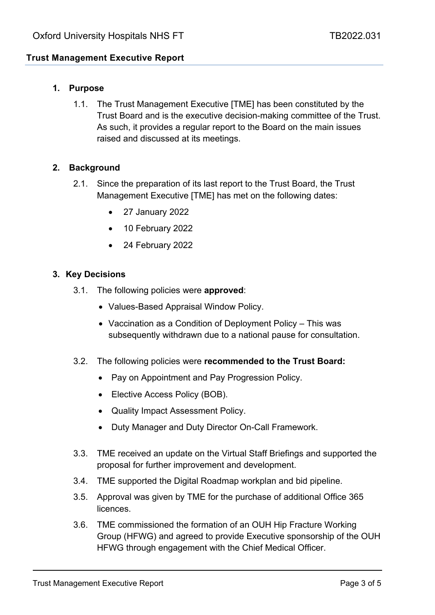# **Trust Management Executive Report**

## **1. Purpose**

1.1. The Trust Management Executive [TME] has been constituted by the Trust Board and is the executive decision-making committee of the Trust. As such, it provides a regular report to the Board on the main issues raised and discussed at its meetings.

### **2. Background**

- 2.1. Since the preparation of its last report to the Trust Board, the Trust Management Executive [TME] has met on the following dates:
	- 27 January 2022
	- 10 February 2022
	- 24 February 2022

#### **3. Key Decisions**

- 3.1. The following policies were **approved**:
	- Values-Based Appraisal Window Policy.
	- Vaccination as a Condition of Deployment Policy This was subsequently withdrawn due to a national pause for consultation.
- 3.2. The following policies were **recommended to the Trust Board:**
	- Pay on Appointment and Pay Progression Policy.
	- Elective Access Policy (BOB).
	- Quality Impact Assessment Policy.
	- Duty Manager and Duty Director On-Call Framework.
- 3.3. TME received an update on the Virtual Staff Briefings and supported the proposal for further improvement and development.
- 3.4. TME supported the Digital Roadmap workplan and bid pipeline.
- 3.5. Approval was given by TME for the purchase of additional Office 365 **licences**
- 3.6. TME commissioned the formation of an OUH Hip Fracture Working Group (HFWG) and agreed to provide Executive sponsorship of the OUH HFWG through engagement with the Chief Medical Officer.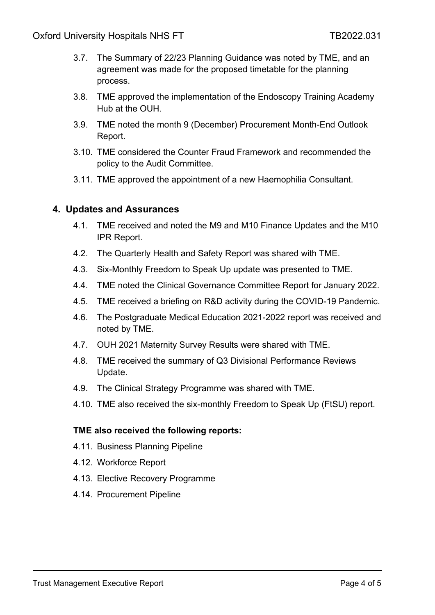- 3.7. The Summary of 22/23 Planning Guidance was noted by TME, and an agreement was made for the proposed timetable for the planning process.
- 3.8. TME approved the implementation of the Endoscopy Training Academy Hub at the OUH.
- 3.9. TME noted the month 9 (December) Procurement Month-End Outlook Report.
- 3.10. TME considered the Counter Fraud Framework and recommended the policy to the Audit Committee.
- 3.11. TME approved the appointment of a new Haemophilia Consultant.

# **4. Updates and Assurances**

- 4.1. TME received and noted the M9 and M10 Finance Updates and the M10 IPR Report.
- 4.2. The Quarterly Health and Safety Report was shared with TME.
- 4.3. Six-Monthly Freedom to Speak Up update was presented to TME.
- 4.4. TME noted the Clinical Governance Committee Report for January 2022.
- 4.5. TME received a briefing on R&D activity during the COVID-19 Pandemic.
- 4.6. The Postgraduate Medical Education 2021-2022 report was received and noted by TME.
- 4.7. OUH 2021 Maternity Survey Results were shared with TME.
- 4.8. TME received the summary of Q3 Divisional Performance Reviews Update.
- 4.9. The Clinical Strategy Programme was shared with TME.
- 4.10. TME also received the six-monthly Freedom to Speak Up (FtSU) report.

#### **TME also received the following reports:**

- 4.11. Business Planning Pipeline
- 4.12. Workforce Report
- 4.13. Elective Recovery Programme
- 4.14. Procurement Pipeline